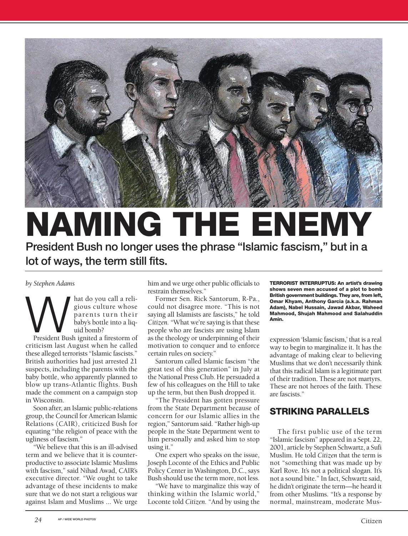

# **NAMING THE ENEMY President Bush no longer uses the phrase "Islamic fascism," but in a lot of ways, the term still fits.**

*by Stephen Adams*

Musical a reliable value of the parents turn their baby's bottle into a liq-<br>President Bush ignited a firestorm of gious culture whose parents turn their baby's bottle into a liquid bomb?

criticism last August when he called these alleged terrorists "Islamic fascists." British authorities had just arrested 21 suspects, including the parents with the baby bottle, who apparently planned to blow up trans-Atlantic flights. Bush made the comment on a campaign stop in Wisconsin.

Soon after, an Islamic public-relations group, the Council for American Islamic Relations (CAIR), criticized Bush for equating "the religion of peace with the ugliness of fascism."

"We believe that this is an ill-advised term and we believe that it is counterproductive to associate Islamic Muslims with fascism," said Nihad Awad, CAIR's executive director. "We ought to take advantage of these incidents to make sure that we do not start a religious war against Islam and Muslims ... We urge

him and we urge other public officials to restrain themselves."

Former Sen. Rick Santorum, R-Pa., could not disagree more. "This is not saying all Islamists are fascists," he told *Citizen.* "What we're saying is that these people who are fascists are using Islam as the theology or underpinning of their motivation to conquer and to enforce certain rules on society."

Santorum called Islamic fascism "the great test of this generation" in July at the National Press Club. He persuaded a few of his colleagues on the Hill to take up the term, but then Bush dropped it.

"The President has gotten pressure from the State Department because of concern for our Islamic allies in the region," Santorum said. "Rather high-up people in the State Department went to him personally and asked him to stop using it."

One expert who speaks on the issue, Joseph Loconte of the Ethics and Public Policy Center in Washington, D.C., says Bush should use the term more, not less.

"We have to marginalize this way of thinking within the Islamic world," Loconte told *Citizen.* "And by using the

**TERRORIST INTERRUPTUS: An artist's drawing shows seven men accused of a plot to bomb British government buildings. They are, from left, Omar Khyam, Anthony Garcia (a.k.a. Rahman Adam), Nabel Hussain, Jawad Akbar, Waheed Mahmood, Shujah Mahmood and Salahuddin Amin.**

expression 'Islamic fascism,' that is a real way to begin to marginalize it. It has the advantage of making clear to believing Muslims that we don't necessarily think that this radical Islam is a legitimate part of their tradition. These are not martyrs. These are not heroes of the faith. These are fascists."

## **STRIKING PARALLELS**

The first public use of the term "Islamic fascism" appeared in a Sept. 22, 2001, article by Stephen Schwartz, a Sufi Muslim. He told *Citizen* that the term is not "something that was made up by Karl Rove. It's not a political slogan. It's not a sound bite." In fact, Schwartz said, he didn't originate the term—he heard it from other Muslims. "It's a response by normal, mainstream, moderate Mus